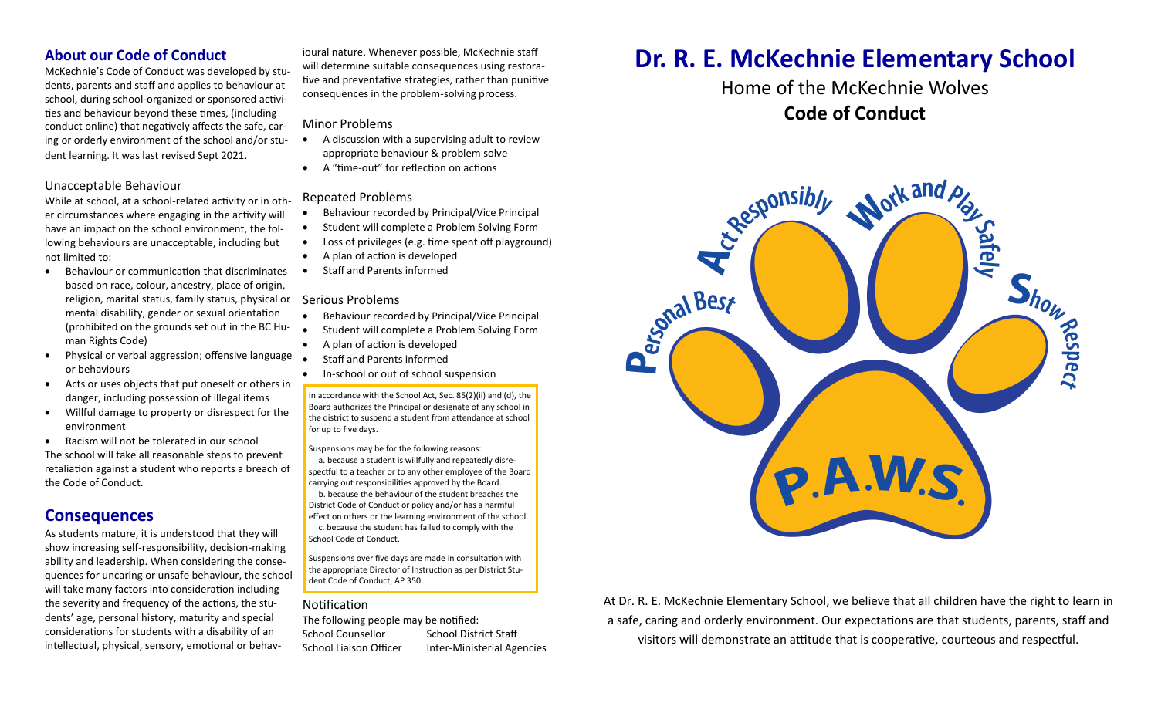### **About our Code of Conduct**

McKechnie's Code of Conduct was developed by students, parents and staff and applies to behaviour at school, during school-organized or sponsored activities and behaviour beyond these times, (including conduct online) that negatively affects the safe, caring or orderly environment of the school and/or student learning. It was last revised Sept 2021.

#### Unacceptable Behaviour

While at school, at a school-related activity or in other circumstances where engaging in the activity will have an impact on the school environment, the following behaviours are unacceptable, including but not limited to:

- Behaviour or communication that discriminates based on race, colour, ancestry, place of origin, religion, marital status, family status, physical or mental disability, gender or sexual orientation (prohibited on the grounds set out in the BC Human Rights Code)
- Physical or verbal aggression; offensive language or behaviours
- Acts or uses objects that put oneself or others in danger, including possession of illegal items
- Willful damage to property or disrespect for the environment
- Racism will not be tolerated in our school

The school will take all reasonable steps to prevent retaliation against a student who reports a breach of the Code of Conduct.

## **Consequences**

As students mature, it is understood that they will show increasing self-responsibility, decision-making ability and leadership. When considering the consequences for uncaring or unsafe behaviour, the school will take many factors into consideration including the severity and frequency of the actions, the students' age, personal history, maturity and special considerations for students with a disability of an intellectual, physical, sensory, emotional or behav-

ioural nature. Whenever possible, McKechnie staff will determine suitable consequences using restorative and preventative strategies, rather than punitive consequences in the problem-solving process.

#### Minor Problems

- A discussion with a supervising adult to review appropriate behaviour & problem solve
- A "time-out" for reflection on actions

#### Repeated Problems

- Behaviour recorded by Principal/Vice Principal
- Student will complete a Problem Solving Form
- Loss of privileges (e.g. time spent off playground)
- A plan of action is developed
- Staff and Parents informed

#### Serious Problems

- Behaviour recorded by Principal/Vice Principal
- Student will complete a Problem Solving Form
- A plan of action is developed
- Staff and Parents informed
- In-school or out of school suspension

In accordance with the School Act, Sec. 85(2)(ii) and (d), the Board authorizes the Principal or designate of any school in the district to suspend a student from attendance at school for up to five days.

Suspensions may be for the following reasons:

a. because a student is willfully and repeatedly disrespectful to a teacher or to any other employee of the Board carrying out responsibilities approved by the Board. b. because the behaviour of the student breaches the District Code of Conduct or policy and/or has a harmful effect on others or the learning environment of the school. c. because the student has failed to comply with the School Code of Conduct.

Suspensions over five days are made in consultation with the appropriate Director of Instruction as per District Student Code of Conduct, AP 350.

#### **Notification**

The following people may be notified: School Counsellor School District Staff School Liaison Officer Inter-Ministerial Agencies

# **Dr. R. E. McKechnie Elementary School**

## Home of the McKechnie Wolves **Code of Conduct**



At Dr. R. E. McKechnie Elementary School, we believe that all children have the right to learn in a safe, caring and orderly environment. Our expectations are that students, parents, staff and visitors will demonstrate an attitude that is cooperative, courteous and respectful.